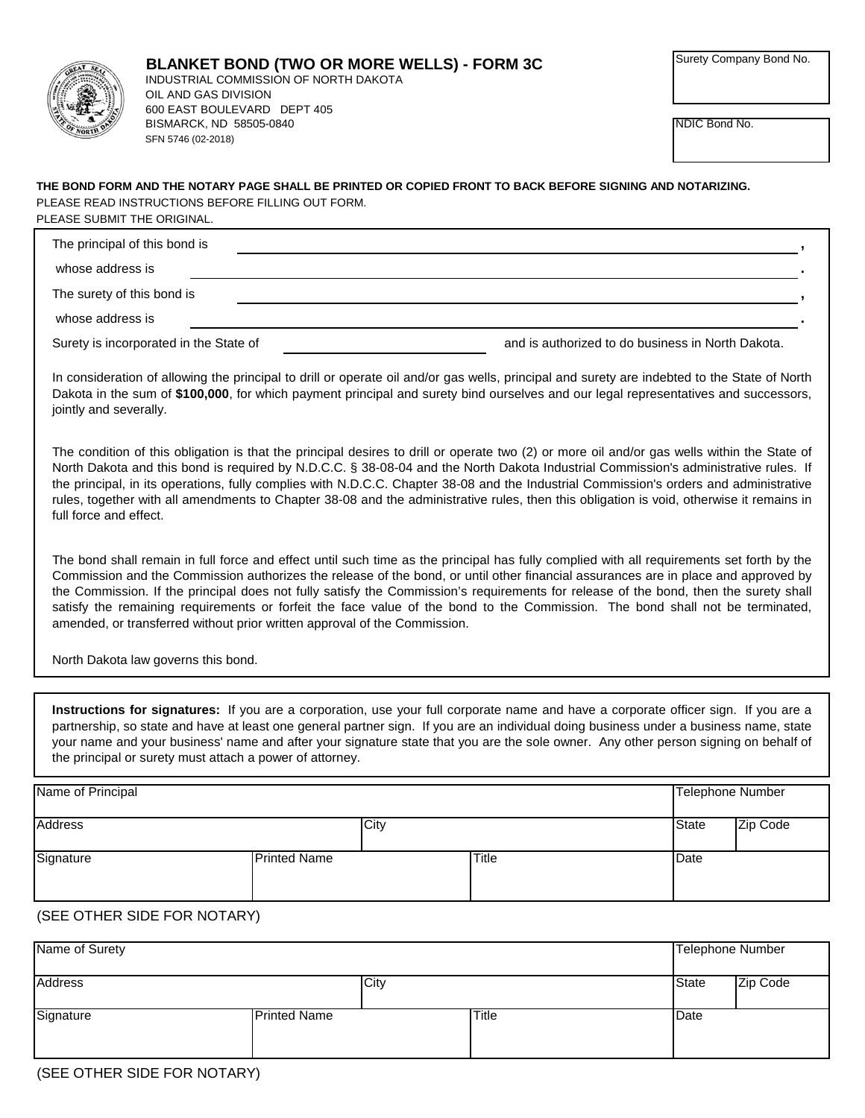

NDIC Bond No.

## **THE BOND FORM AND THE NOTARY PAGE SHALL BE PRINTED OR COPIED FRONT TO BACK BEFORE SIGNING AND NOTARIZING.** PLEASE READ INSTRUCTIONS BEFORE FILLING OUT FORM. PLEASE SUBMIT THE ORIGINAL.

| The principal of this bond is          |                                                   |
|----------------------------------------|---------------------------------------------------|
| whose address is                       |                                                   |
| The surety of this bond is             |                                                   |
| whose address is                       |                                                   |
| Surety is incorporated in the State of | and is authorized to do business in North Dakota. |

In consideration of allowing the principal to drill or operate oil and/or gas wells, principal and surety are indebted to the State of North Dakota in the sum of **\$100,000**, for which payment principal and surety bind ourselves and our legal representatives and successors, jointly and severally.

The condition of this obligation is that the principal desires to drill or operate two (2) or more oil and/or gas wells within the State of North Dakota and this bond is required by N.D.C.C. § 38-08-04 and the North Dakota Industrial Commission's administrative rules. If the principal, in its operations, fully complies with N.D.C.C. Chapter 38-08 and the Industrial Commission's orders and administrative rules, together with all amendments to Chapter 38-08 and the administrative rules, then this obligation is void, otherwise it remains in full force and effect.

The bond shall remain in full force and effect until such time as the principal has fully complied with all requirements set forth by the Commission and the Commission authorizes the release of the bond, or until other financial assurances are in place and approved by the Commission. If the principal does not fully satisfy the Commission's requirements for release of the bond, then the surety shall satisfy the remaining requirements or forfeit the face value of the bond to the Commission. The bond shall not be terminated, amended, or transferred without prior written approval of the Commission.

North Dakota law governs this bond.

**Instructions for signatures:** If you are a corporation, use your full corporate name and have a corporate officer sign. If you are a partnership, so state and have at least one general partner sign. If you are an individual doing business under a business name, state your name and your business' name and after your signature state that you are the sole owner. Any other person signing on behalf of the principal or surety must attach a power of attorney.

| Name of Principal |                     |      |              | <b>Telephone Number</b> |          |
|-------------------|---------------------|------|--------------|-------------------------|----------|
| <b>Address</b>    |                     | City |              | State                   | Zip Code |
| Signature         | <b>Printed Name</b> |      | <b>Title</b> | Date                    |          |

## (SEE OTHER SIDE FOR NOTARY)

| Name of Surety |                     |              | <b>Telephone Number</b> |          |
|----------------|---------------------|--------------|-------------------------|----------|
| <b>Address</b> | City                |              | <b>State</b>            | Zip Code |
| Signature      | <b>Printed Name</b> | <b>Title</b> | Date                    |          |